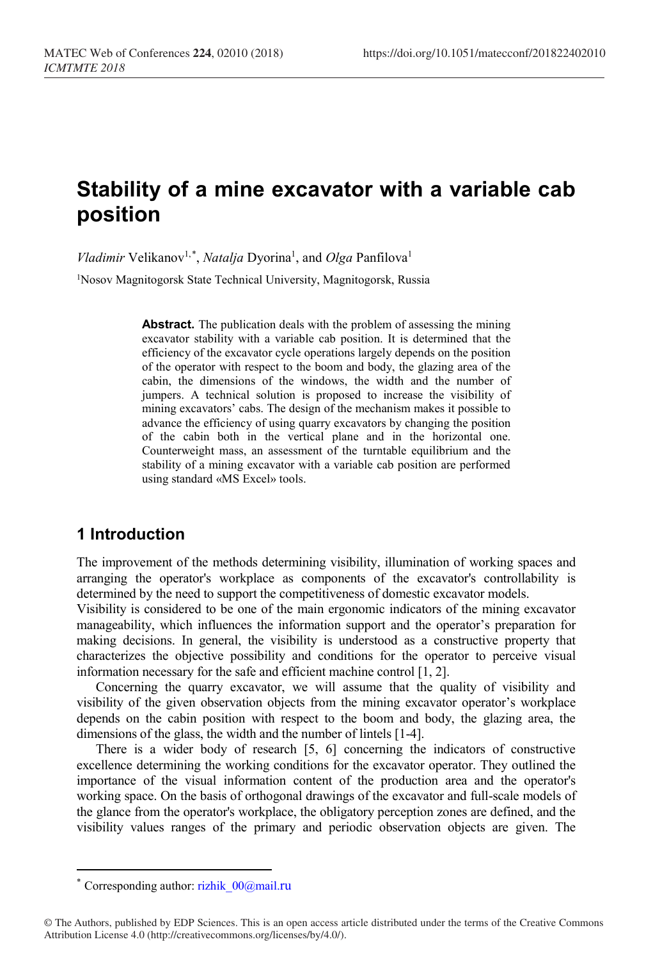# **Stability of a mine excavator with a variable cab position**

*Vladimir* Velikanov<sup>1,[\\*](#page-0-0)</sup>, *Natalja* Dyorina<sup>1</sup>, and *Olga* Panfilova<sup>1</sup>

1Nosov Magnitogorsk State Technical University, Magnitogorsk, Russia

**Abstract.** The publication deals with the problem of assessing the mining excavator stability with a variable cab position. It is determined that the efficiency of the excavator cycle operations largely depends on the position of the operator with respect to the boom and body, the glazing area of the cabin, the dimensions of the windows, the width and the number of jumpers. A technical solution is proposed to increase the visibility of mining excavators' cabs. The design of the mechanism makes it possible to advance the efficiency of using quarry excavators by changing the position of the cabin both in the vertical plane and in the horizontal one. Counterweight mass, an assessment of the turntable equilibrium and the stability of a mining excavator with a variable cab position are performed using standard «MS Excel» tools.

## **1 Introduction**

The improvement of the methods determining visibility, illumination of working spaces and arranging the operator's workplace as components of the excavator's controllability is determined by the need to support the competitiveness of domestic excavator models.

Visibility is considered to be one of the main ergonomic indicators of the mining excavator manageability, which influences the information support and the operator's preparation for making decisions. In general, the visibility is understood as a constructive property that characterizes the objective possibility and conditions for the operator to perceive visual information necessary for the safe and efficient machine control [1, 2].

Concerning the quarry excavator, we will assume that the quality of visibility and visibility of the given observation objects from the mining excavator operator's workplace depends on the cabin position with respect to the boom and body, the glazing area, the dimensions of the glass, the width and the number of lintels [1-4].

There is a wider body of research [5, 6] concerning the indicators of constructive excellence determining the working conditions for the excavator operator. They outlined the importance of the visual information content of the production area and the operator's working space. On the basis of orthogonal drawings of the excavator and full-scale models of the glance from the operator's workplace, the obligatory perception zones are defined, and the visibility values ranges of the primary and periodic observation objects are given. The

 $\overline{a}$ 

Corresponding author: rizhik $00@$ mail.ru

<span id="page-0-0"></span><sup>©</sup> The Authors, published by EDP Sciences. This is an open access article distributed under the terms of the Creative Commons Attribution License 4.0 (http://creativecommons.org/licenses/by/4.0/).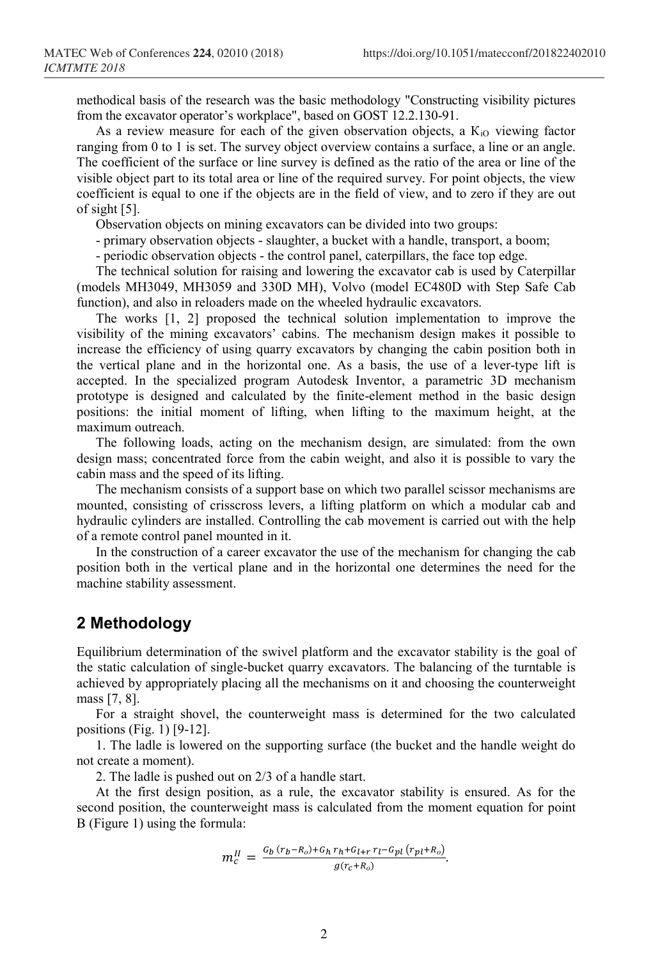methodical basis of the research was the basic methodology "Constructing visibility pictures from the excavator operator's workplace", based on GOST 12.2.130-91.

As a review measure for each of the given observation objects, a  $K_{i0}$  viewing factor ranging from 0 to 1 is set. The survey object overview contains a surface, a line or an angle. The coefficient of the surface or line survey is defined as the ratio of the area or line of the visible object part to its total area or line of the required survey. For point objects, the view coefficient is equal to one if the objects are in the field of view, and to zero if they are out of sight [5].

Observation objects on mining excavators can be divided into two groups:

- primary observation objects - slaughter, a bucket with a handle, transport, a boom;

- periodic observation objects - the control panel, caterpillars, the face top edge.

The technical solution for raising and lowering the excavator cab is used by Caterpillar (models MH3049, MH3059 and 330D MH), Volvo (model EC480D with Step Safe Cab function), and also in reloaders made on the wheeled hydraulic excavators.

The works [1, 2] proposed the technical solution implementation to improve the visibility of the mining excavators' cabins. The mechanism design makes it possible to increase the efficiency of using quarry excavators by changing the cabin position both in the vertical plane and in the horizontal one. As a basis, the use of a lever-type lift is accepted. In the specialized program Autodesk Inventor, a parametric 3D mechanism prototype is designed and calculated by the finite-element method in the basic design positions: the initial moment of lifting, when lifting to the maximum height, at the maximum outreach.

The following loads, acting on the mechanism design, are simulated: from the own design mass; concentrated force from the cabin weight, and also it is possible to vary the cabin mass and the speed of its lifting.

The mechanism consists of a support base on which two parallel scissor mechanisms are mounted, consisting of crisscross levers, a lifting platform on which a modular cab and hydraulic cylinders are installed. Controlling the cab movement is carried out with the help of a remote control panel mounted in it.

In the construction of a career excavator the use of the mechanism for changing the cab position both in the vertical plane and in the horizontal one determines the need for the machine stability assessment.

### **2 Methodology**

Equilibrium determination of the swivel platform and the excavator stability is the goal of the static calculation of single-bucket quarry excavators. The balancing of the turntable is achieved by appropriately placing all the mechanisms on it and choosing the counterweight mass [7, 8].

For a straight shovel, the counterweight mass is determined for the two calculated positions (Fig. 1) [9-12].

1. The ladle is lowered on the supporting surface (the bucket and the handle weight do not create a moment).

2. The ladle is pushed out on 2/3 of a handle start.

At the first design position, as a rule, the excavator stability is ensured. As for the second position, the counterweight mass is calculated from the moment equation for point B (Figure 1) using the formula:

$$
m_c^{II} = \frac{G_b (r_b - R_o) + G_h r_h + G_{l+r} r_l - G_{pl} (r_{pl} + R_o)}{g(r_c + R_o)}.
$$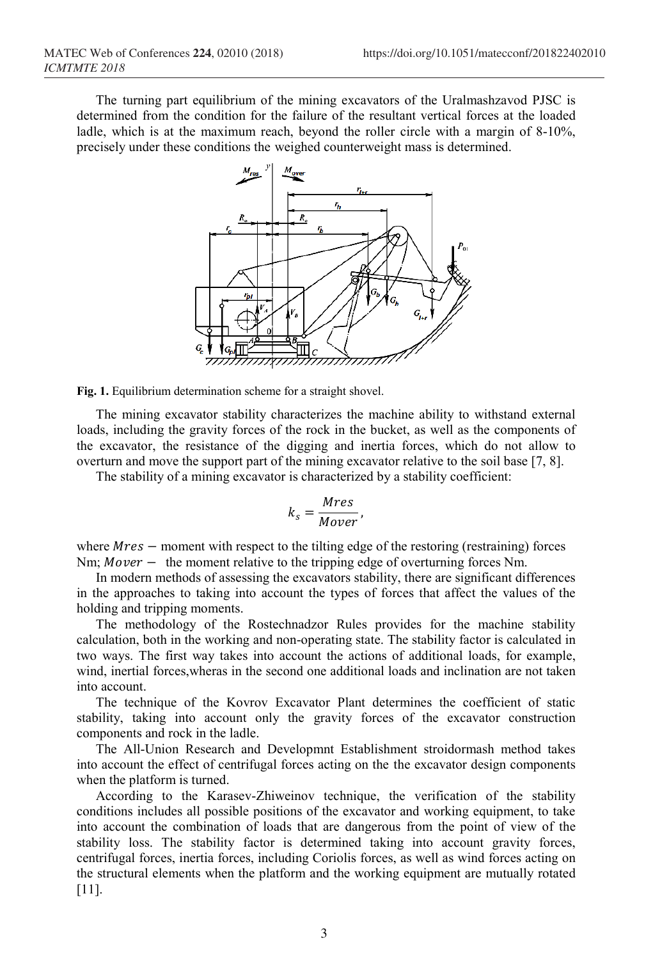The turning part equilibrium of the mining excavators of the Uralmashzavod PJSC is determined from the condition for the failure of the resultant vertical forces at the loaded ladle, which is at the maximum reach, beyond the roller circle with a margin of 8-10%, precisely under these conditions the weighed counterweight mass is determined.



**Fig. 1.** Equilibrium determination scheme for a straight shovel.

The mining excavator stability characterizes the machine ability to withstand external loads, including the gravity forces of the rock in the bucket, as well as the components of the excavator, the resistance of the digging and inertia forces, which do not allow to overturn and move the support part of the mining excavator relative to the soil base [7, 8].

The stability of a mining excavator is characterized by a stability coefficient:

$$
k_s = \frac{Mres}{Mover},
$$

where  $Mres$  – moment with respect to the tilting edge of the restoring (restraining) forces Nm;  $Mover -$  the moment relative to the tripping edge of overturning forces Nm.

In modern methods of assessing the excavators stability, there are significant differences in the approaches to taking into account the types of forces that affect the values of the holding and tripping moments.

The methodology of the Rostechnadzor Rules provides for the machine stability calculation, both in the working and non-operating state. The stability factor is calculated in two ways. The first way takes into account the actions of additional loads, for example, wind, inertial forces,wheras in the second one additional loads and inclination are not taken into account.

The technique of the Kovrov Excavator Plant determines the coefficient of static stability, taking into account only the gravity forces of the excavator construction components and rock in the ladle.

The All-Union Research and Developmnt Establishment stroidormash method takes into account the effect of centrifugal forces acting on the the excavator design components when the platform is turned.

According to the Karasev-Zhiweinov technique, the verification of the stability conditions includes all possible positions of the excavator and working equipment, to take into account the combination of loads that are dangerous from the point of view of the stability loss. The stability factor is determined taking into account gravity forces, centrifugal forces, inertia forces, including Coriolis forces, as well as wind forces acting on the structural elements when the platform and the working equipment are mutually rotated [11].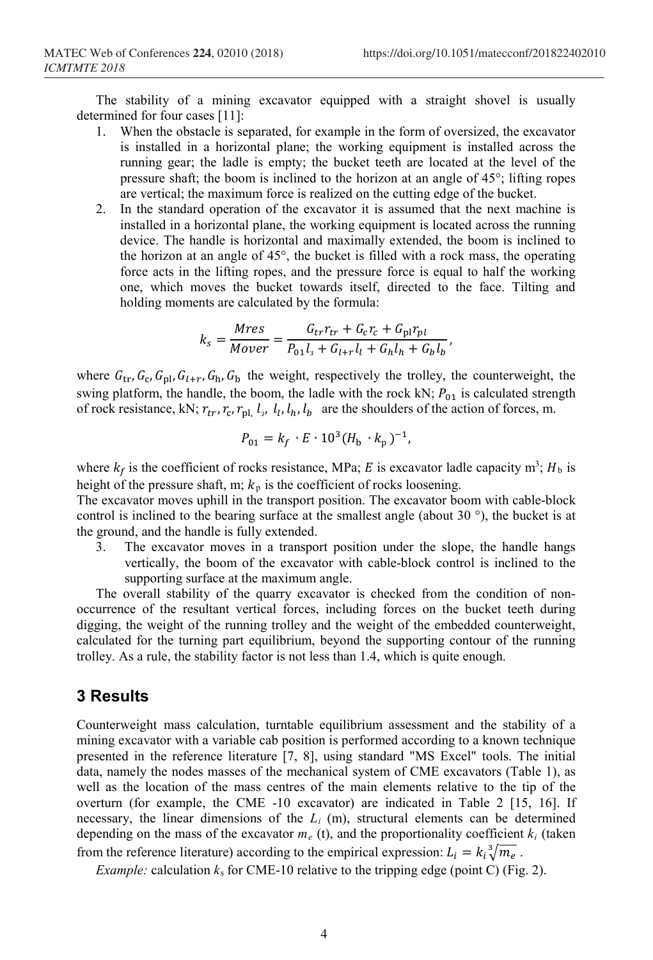The stability of a mining excavator equipped with a straight shovel is usually determined for four cases [11]:

- 1. When the obstacle is separated, for example in the form of oversized, the excavator is installed in a horizontal plane; the working equipment is installed across the running gear; the ladle is empty; the bucket teeth are located at the level of the pressure shaft; the boom is inclined to the horizon at an angle of 45°; lifting ropes are vertical; the maximum force is realized on the cutting edge of the bucket.
- 2. In the standard operation of the excavator it is assumed that the next machine is installed in a horizontal plane, the working equipment is located across the running device. The handle is horizontal and maximally extended, the boom is inclined to the horizon at an angle of 45°, the bucket is filled with a rock mass, the operating force acts in the lifting ropes, and the pressure force is equal to half the working one, which moves the bucket towards itself, directed to the face. Tilting and holding moments are calculated by the formula:

$$
k_s = \frac{Mres}{Mover} = \frac{G_{tr}r_{tr} + G_c r_c + G_{\text{pl}}r_{pl}}{P_{01}l_s + G_{l+r}l_l + G_hl_h + G_bl_b},
$$

where  $G_{tr}$ ,  $G_c$ ,  $G_{pl}$ ,  $G_{l+r}$ ,  $G_h$ ,  $G_b$  the weight, respectively the trolley, the counterweight, the swing platform, the handle, the boom, the ladle with the rock kN;  $P_{01}$  is calculated strength of rock resistance, kN;  $r_{tr}$ ,  $r_c$ ,  $r_{pl}$ ,  $l_s$ ,  $l_l$ ,  $l_h$ ,  $l_b$  are the shoulders of the action of forces, m.

$$
P_{01} = k_f \cdot E \cdot 10^3 (H_{\rm b} \cdot k_{\rm p})^{-1},
$$

where  $k_f$  is the coefficient of rocks resistance, MPa; E is excavator ladle capacity m<sup>3</sup>; H<sub>b</sub> is height of the pressure shaft, m;  $k_p$  is the coefficient of rocks loosening.

The excavator moves uphill in the transport position. The excavator boom with cable-block control is inclined to the bearing surface at the smallest angle (about 30 $\degree$ ), the bucket is at the ground, and the handle is fully extended.

3. The excavator moves in a transport position under the slope, the handle hangs vertically, the boom of the excavator with cable-block control is inclined to the supporting surface at the maximum angle.

The overall stability of the quarry excavator is checked from the condition of nonoccurrence of the resultant vertical forces, including forces on the bucket teeth during digging, the weight of the running trolley and the weight of the embedded counterweight, calculated for the turning part equilibrium, beyond the supporting contour of the running trolley. As a rule, the stability factor is not less than 1.4, which is quite enough.

#### **3 Results**

Counterweight mass calculation, turntable equilibrium assessment and the stability of a mining excavator with a variable cab position is performed according to a known technique presented in the reference literature [7, 8], using standard "MS Excel" tools. The initial data, namely the nodes masses of the mechanical system of CME excavators (Table 1), as well as the location of the mass centres of the main elements relative to the tip of the overturn (for example, the CME -10 excavator) are indicated in Table 2 [15, 16]. If necessary, the linear dimensions of the *Li* (m), structural elements can be determined depending on the mass of the excavator  $m_e$  (t), and the proportionality coefficient  $k_i$  (taken from the reference literature) according to the empirical expression:  $L_i = k_i \sqrt[3]{m_e}$ .

*Example:* calculation  $k_s$  for CME-10 relative to the tripping edge (point C) (Fig. 2).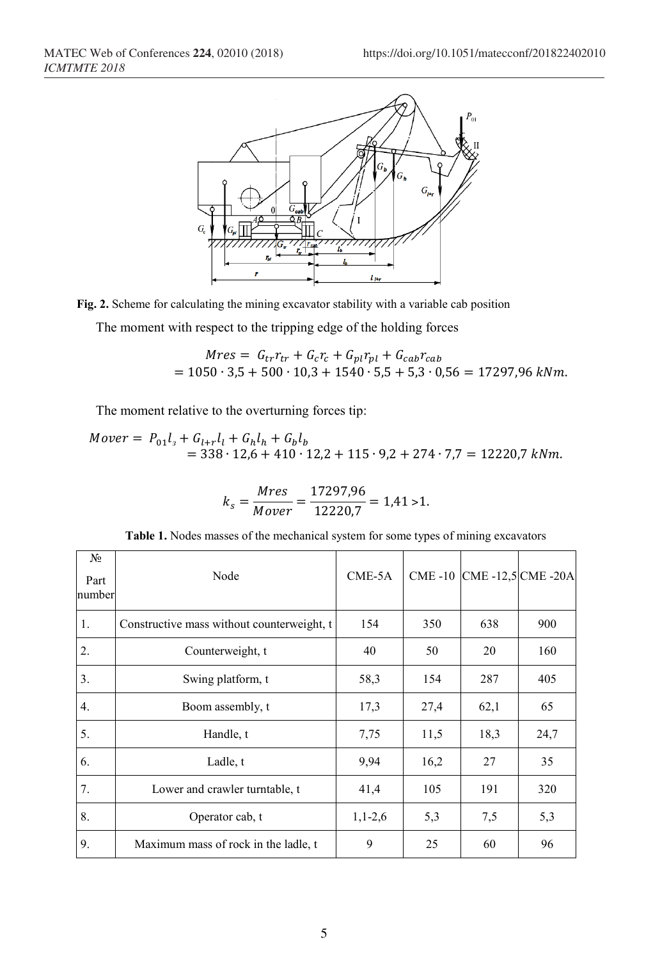

**Fig. 2.** Scheme for calculating the mining excavator stability with a variable cab position

The moment with respect to the tripping edge of the holding forces

$$
Mres = G_{tr}r_{tr} + G_{c}r_{c} + G_{pl}r_{pl} + G_{cab}r_{cab}
$$
  
= 1050 \cdot 3.5 + 500 \cdot 10.3 + 1540 \cdot 5.5 + 5.3 \cdot 0.56 = 17297.96 kNm.

The moment relative to the overturning forces tip:

 $Mover = P_{01}l_{3} + G_{l+r}l_{l} + G_{h}l_{h} + G_{b}l_{b}$  $= 338 \cdot 12{,}6 + 410 \cdot 12{,}2 + 115 \cdot 9{,}2 + 274 \cdot 7{,}7 = 12220{,}7$  kNm.

$$
k_s = \frac{Mres}{Mover} = \frac{17297,96}{12220,7} = 1,41 > 1.
$$

|  | <b>Table 1.</b> Nodes masses of the mechanical system for some types of mining excavators |  |  |  |
|--|-------------------------------------------------------------------------------------------|--|--|--|
|  |                                                                                           |  |  |  |

| No<br>Part<br>number | Node                                       | $CME-5A$  |      |      | CME -10 CME -12,5 CME -20A |
|----------------------|--------------------------------------------|-----------|------|------|----------------------------|
| 1.                   | Constructive mass without counterweight, t | 154       | 350  | 638  | 900                        |
| 2.                   | Counterweight, t                           | 40        | 50   | 20   | 160                        |
| 3.                   | Swing platform, t                          | 58,3      | 154  | 287  | 405                        |
| 4.                   | Boom assembly, t                           | 17,3      | 27,4 | 62,1 | 65                         |
| 5.                   | Handle, t                                  | 7,75      | 11,5 | 18,3 | 24,7                       |
| 6.                   | Ladle, t                                   | 9,94      | 16,2 | 27   | 35                         |
| 7.                   | Lower and crawler turntable, t             | 41,4      | 105  | 191  | 320                        |
| 8.                   | Operator cab, t                            | $1,1-2,6$ | 5,3  | 7,5  | 5,3                        |
| 9.                   | Maximum mass of rock in the ladle, t       | 9         | 25   | 60   | 96                         |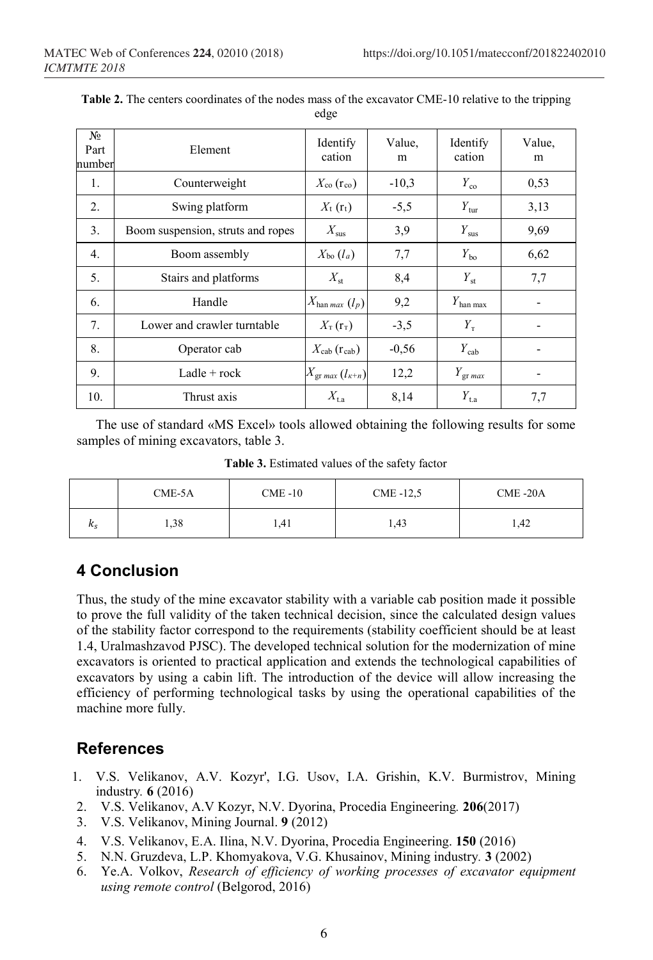| N <sub>0</sub><br>Part<br>number | Element                           | Identify<br>cation                                           | Value,<br>m | Identify<br>cation   | Value,<br>m                  |
|----------------------------------|-----------------------------------|--------------------------------------------------------------|-------------|----------------------|------------------------------|
| 1.                               | Counterweight                     | $X_{\rm co}$ (r <sub>co</sub> )                              | $-10,3$     | $Y_{\rm co}$         | 0,53                         |
| 2.                               | Swing platform                    | $X_{t}$ ( $r_{t}$ )                                          | $-5,5$      | $Y_{\text{tur}}$     | 3,13                         |
| 3.                               | Boom suspension, struts and ropes | $X_\mathrm{sus}$                                             | 3,9         | $Y_{\rm sus}$        | 9,69                         |
| 4.                               | Boom assembly                     | $X_{\text{bo}}\left(l_a\right)$                              | 7,7         | $Y_{\rm bo}$         | 6,62                         |
| 5.                               | Stairs and platforms              | $X_{\rm st}$                                                 | 8,4         | $Y_{\rm st}$         | 7,7                          |
| 6.                               | Handle                            | $X_{\text{han max}}(l_p)$                                    | 9,2         | $Y_{\rm han\;max}$   |                              |
| 7.                               | Lower and crawler turntable       | $X_{\text{\tiny T}}\left(\mathbf{r}_{\text{\tiny T}}\right)$ | $-3,5$      | $Y_{\text{\tiny T}}$ |                              |
| 8.                               | Operator cab                      | $X_{\rm cab}$ (reab)                                         | $-0,56$     | $Y_{\rm cab}$        |                              |
| 9.                               | Ladle $+$ rock                    | $X_{\rm gr \, max}$ $(l_{\kappa+n})$                         | 12,2        | $Y_{\rm gr \, max}$  | $\qquad \qquad \blacksquare$ |
| 10.                              | Thrust axis                       | $X_{\rm{t.a}}$                                               | 8,14        | $Y_{t,a}$            | 7,7                          |

**Table 2.** The centers coordinates of the nodes mass of the excavator CME-10 relative to the tripping edge

The use of standard «MS Excel» tools allowed obtaining the following results for some samples of mining excavators, table 3.

**Table 3.** Estimated values of the safety factor

|              | $CME-5A$ | $CME -10$ | CME -12,5 | CME-20A |  |
|--------------|----------|-----------|-----------|---------|--|
| $\kappa_{S}$ | 1,38     | 1,41      | 1,43      | 1,42    |  |

# **4 Conclusion**

Thus, the study of the mine excavator stability with a variable cab position made it possible to prove the full validity of the taken technical decision, since the calculated design values of the stability factor correspond to the requirements (stability coefficient should be at least 1.4, Uralmashzavod PJSC). The developed technical solution for the modernization of mine excavators is oriented to practical application and extends the technological capabilities of excavators by using a cabin lift. The introduction of the device will allow increasing the efficiency of performing technological tasks by using the operational capabilities of the machine more fully.

## **References**

- 1. V.S. Velikanov, A.V. Kozyr', I.G. Usov, I.A. Grishin, K.V. Burmistrov, Mining industry*.* **6** (2016)
- 2. V.S. Velikanov, A.V Kozyr, N.V. Dyorina, Procedia Engineering*.* **206**(2017)
- 3. V.S. Velikanov, Mining Journal. **9** (2012)
- 4. V.S. Velikanov, E.A. Ilina, N.V. Dyorina, Procedia Engineering. **150** (2016)
- 5. N.N. Gruzdeva, L.P. Khomyakova, V.G. Khusainov, Mining industry*.* **3** (2002)
- 6. Ye.A. Volkov, *Research of efficiency of working processes of excavator equipment using remote control* (Belgorod, 2016)